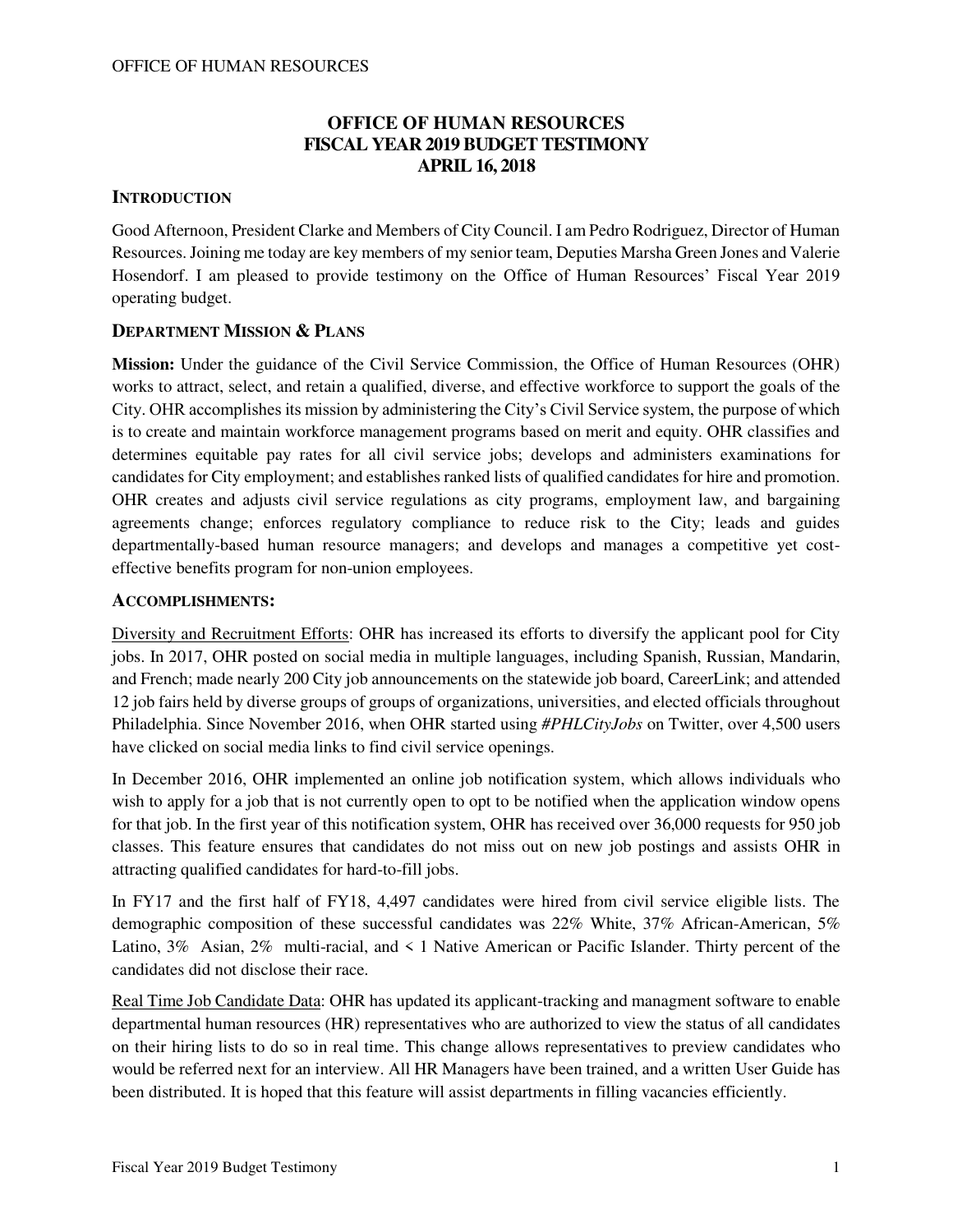# **OFFICE OF HUMAN RESOURCES FISCAL YEAR 2019 BUDGET TESTIMONY APRIL 16, 2018**

## **INTRODUCTION**

Good Afternoon, President Clarke and Members of City Council. I am Pedro Rodriguez, Director of Human Resources. Joining me today are key members of my senior team, Deputies Marsha Green Jones and Valerie Hosendorf. I am pleased to provide testimony on the Office of Human Resources' Fiscal Year 2019 operating budget.

## **DEPARTMENT MISSION & PLANS**

**Mission:** Under the guidance of the Civil Service Commission, the Office of Human Resources (OHR) works to attract, select, and retain a qualified, diverse, and effective workforce to support the goals of the City. OHR accomplishes its mission by administering the City's Civil Service system, the purpose of which is to create and maintain workforce management programs based on merit and equity. OHR classifies and determines equitable pay rates for all civil service jobs; develops and administers examinations for candidates for City employment; and establishes ranked lists of qualified candidates for hire and promotion. OHR creates and adjusts civil service regulations as city programs, employment law, and bargaining agreements change; enforces regulatory compliance to reduce risk to the City; leads and guides departmentally-based human resource managers; and develops and manages a competitive yet costeffective benefits program for non-union employees.

### **ACCOMPLISHMENTS:**

Diversity and Recruitment Efforts: OHR has increased its efforts to diversify the applicant pool for City jobs. In 2017, OHR posted on social media in multiple languages, including Spanish, Russian, Mandarin, and French; made nearly 200 City job announcements on the statewide job board, CareerLink; and attended 12 job fairs held by diverse groups of groups of organizations, universities, and elected officials throughout Philadelphia. Since November 2016, when OHR started using *#PHLCityJobs* on Twitter, over 4,500 users have clicked on social media links to find civil service openings.

In December 2016, OHR implemented an online job notification system, which allows individuals who wish to apply for a job that is not currently open to opt to be notified when the application window opens for that job. In the first year of this notification system, OHR has received over 36,000 requests for 950 job classes. This feature ensures that candidates do not miss out on new job postings and assists OHR in attracting qualified candidates for hard-to-fill jobs.

In FY17 and the first half of FY18, 4,497 candidates were hired from civil service eligible lists. The demographic composition of these successful candidates was 22% White, 37% African-American, 5% Latino, 3% Asian, 2% multi-racial, and < 1 Native American or Pacific Islander. Thirty percent of the candidates did not disclose their race.

Real Time Job Candidate Data: OHR has updated its applicant-tracking and managment software to enable departmental human resources (HR) representatives who are authorized to view the status of all candidates on their hiring lists to do so in real time. This change allows representatives to preview candidates who would be referred next for an interview. All HR Managers have been trained, and a written User Guide has been distributed. It is hoped that this feature will assist departments in filling vacancies efficiently.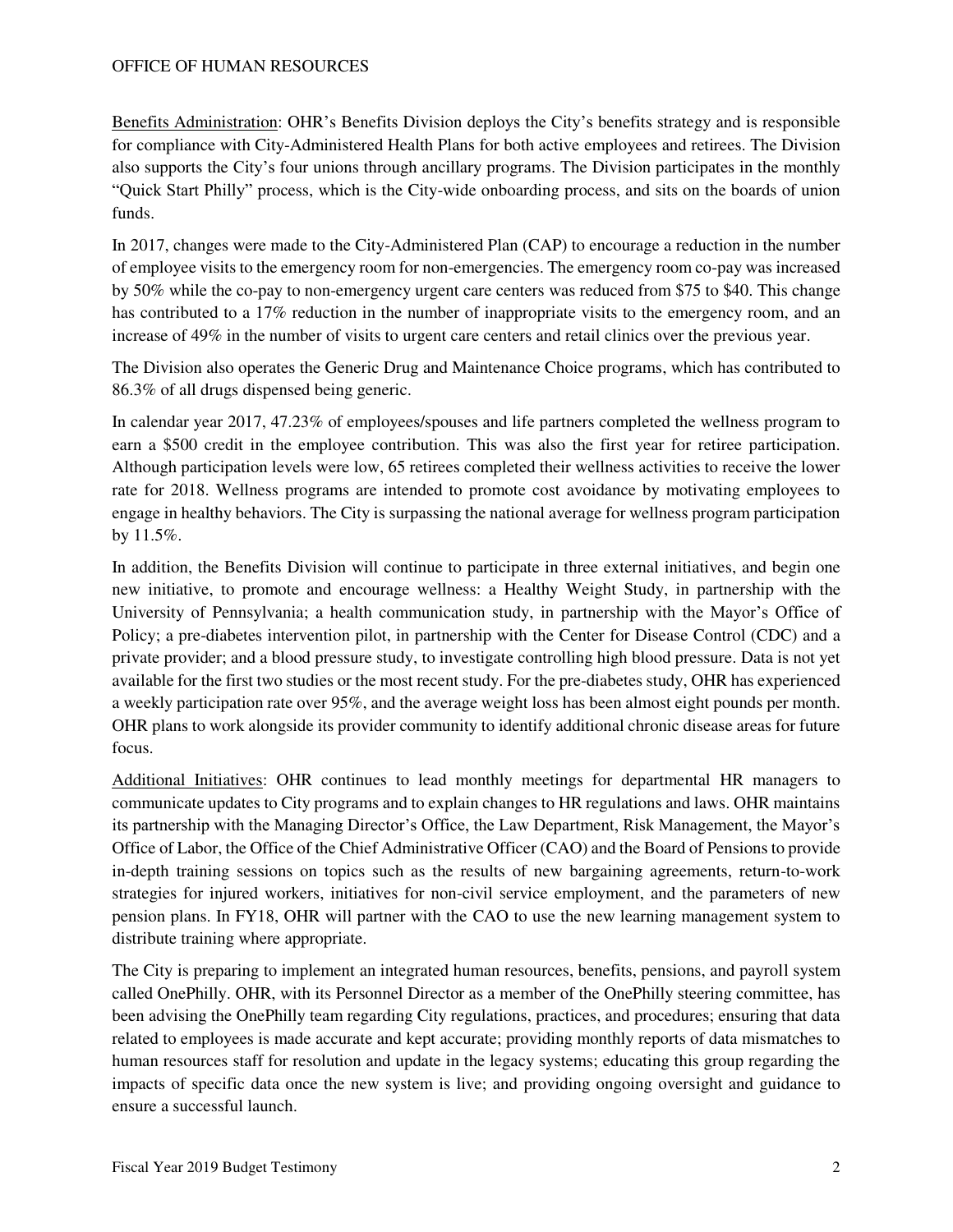Benefits Administration: OHR's Benefits Division deploys the City's benefits strategy and is responsible for compliance with City-Administered Health Plans for both active employees and retirees. The Division also supports the City's four unions through ancillary programs. The Division participates in the monthly "Quick Start Philly" process, which is the City-wide onboarding process, and sits on the boards of union funds.

In 2017, changes were made to the City-Administered Plan (CAP) to encourage a reduction in the number of employee visits to the emergency room for non-emergencies. The emergency room co-pay was increased by 50% while the co-pay to non-emergency urgent care centers was reduced from \$75 to \$40. This change has contributed to a 17% reduction in the number of inappropriate visits to the emergency room, and an increase of 49% in the number of visits to urgent care centers and retail clinics over the previous year.

The Division also operates the Generic Drug and Maintenance Choice programs, which has contributed to 86.3% of all drugs dispensed being generic.

In calendar year 2017, 47.23% of employees/spouses and life partners completed the wellness program to earn a \$500 credit in the employee contribution. This was also the first year for retiree participation. Although participation levels were low, 65 retirees completed their wellness activities to receive the lower rate for 2018. Wellness programs are intended to promote cost avoidance by motivating employees to engage in healthy behaviors. The City is surpassing the national average for wellness program participation by 11.5%.

In addition, the Benefits Division will continue to participate in three external initiatives, and begin one new initiative, to promote and encourage wellness: a Healthy Weight Study, in partnership with the University of Pennsylvania; a health communication study, in partnership with the Mayor's Office of Policy; a pre-diabetes intervention pilot, in partnership with the Center for Disease Control (CDC) and a private provider; and a blood pressure study, to investigate controlling high blood pressure. Data is not yet available for the first two studies or the most recent study. For the pre-diabetes study, OHR has experienced a weekly participation rate over 95%, and the average weight loss has been almost eight pounds per month. OHR plans to work alongside its provider community to identify additional chronic disease areas for future focus.

Additional Initiatives: OHR continues to lead monthly meetings for departmental HR managers to communicate updates to City programs and to explain changes to HR regulations and laws. OHR maintains its partnership with the Managing Director's Office, the Law Department, Risk Management, the Mayor's Office of Labor, the Office of the Chief Administrative Officer (CAO) and the Board of Pensions to provide in-depth training sessions on topics such as the results of new bargaining agreements, return-to-work strategies for injured workers, initiatives for non-civil service employment, and the parameters of new pension plans. In FY18, OHR will partner with the CAO to use the new learning management system to distribute training where appropriate.

The City is preparing to implement an integrated human resources, benefits, pensions, and payroll system called OnePhilly. OHR, with its Personnel Director as a member of the OnePhilly steering committee, has been advising the OnePhilly team regarding City regulations, practices, and procedures; ensuring that data related to employees is made accurate and kept accurate; providing monthly reports of data mismatches to human resources staff for resolution and update in the legacy systems; educating this group regarding the impacts of specific data once the new system is live; and providing ongoing oversight and guidance to ensure a successful launch.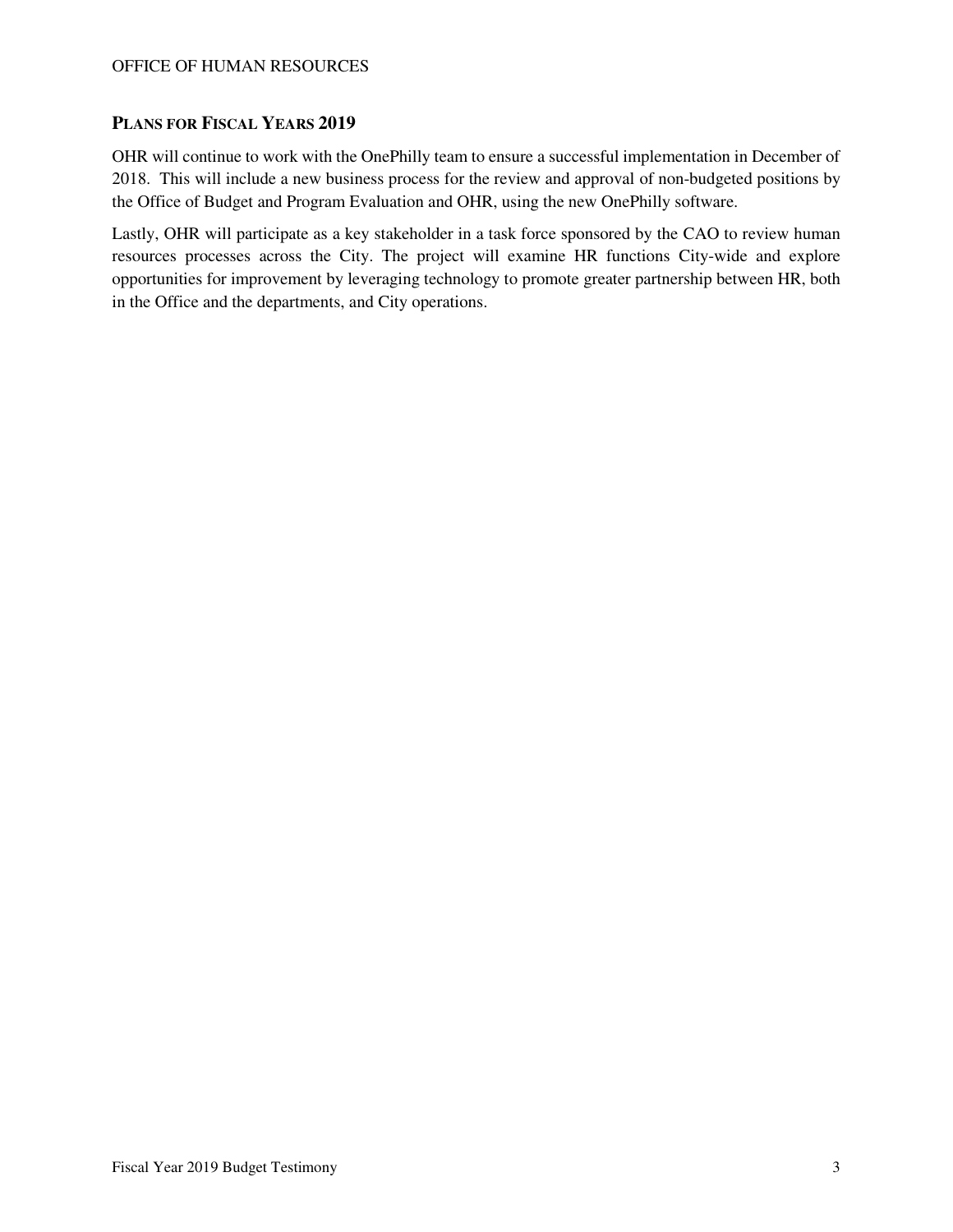### **PLANS FOR FISCAL YEARS 2019**

OHR will continue to work with the OnePhilly team to ensure a successful implementation in December of 2018. This will include a new business process for the review and approval of non-budgeted positions by the Office of Budget and Program Evaluation and OHR, using the new OnePhilly software.

Lastly, OHR will participate as a key stakeholder in a task force sponsored by the CAO to review human resources processes across the City. The project will examine HR functions City-wide and explore opportunities for improvement by leveraging technology to promote greater partnership between HR, both in the Office and the departments, and City operations.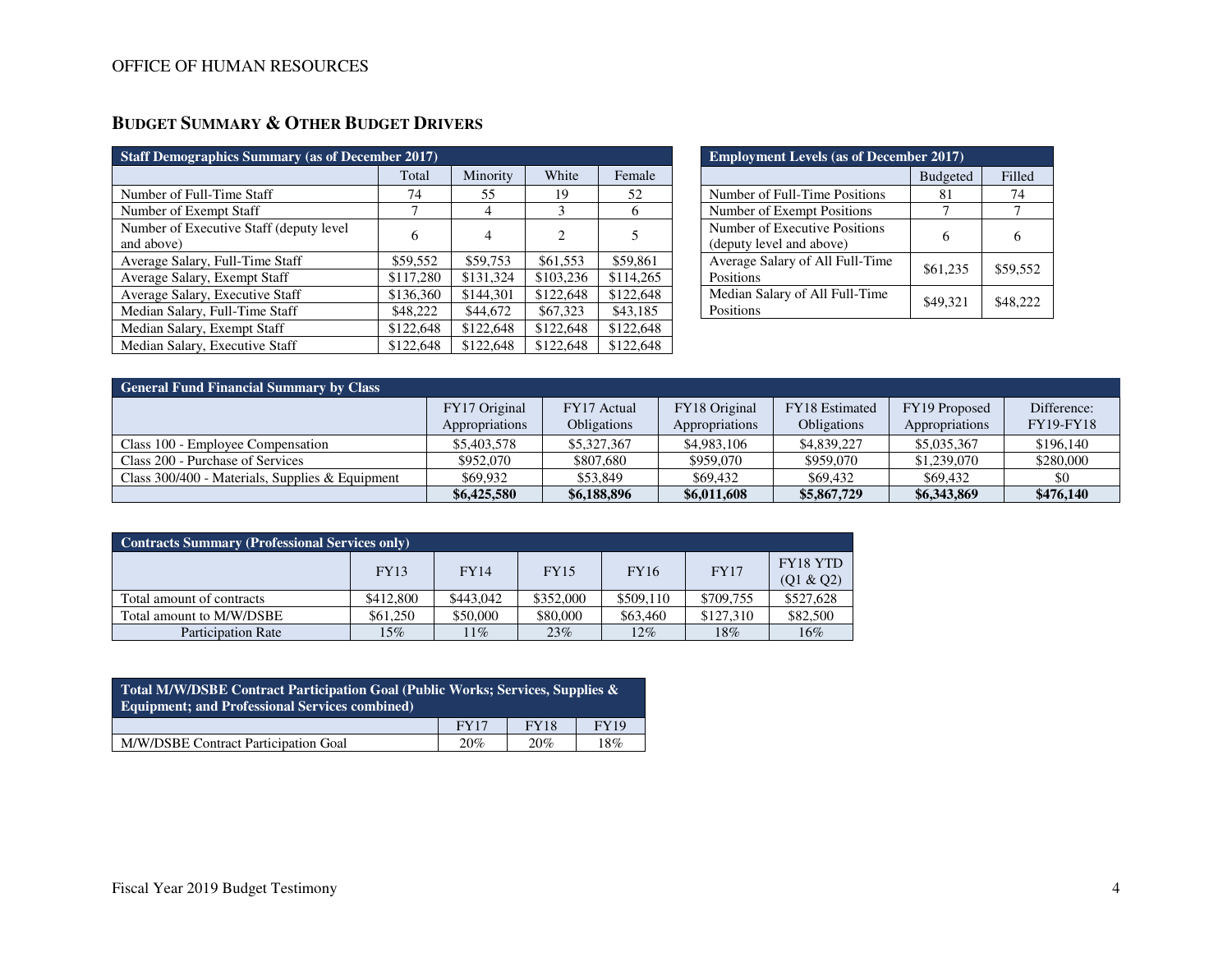| <b>Staff Demographics Summary (as of December 2017)</b> |           |                |           |           |  |  |  |  |  |
|---------------------------------------------------------|-----------|----------------|-----------|-----------|--|--|--|--|--|
|                                                         | Total     | Minority       | White     | Female    |  |  |  |  |  |
| Number of Full-Time Staff                               | 74        | 55             | 19        | 52        |  |  |  |  |  |
| Number of Exempt Staff                                  | 7         | $\overline{4}$ | 3         | 6         |  |  |  |  |  |
| Number of Executive Staff (deputy level)<br>and above)  | 6         | 4              | 2         | 5         |  |  |  |  |  |
| Average Salary, Full-Time Staff                         | \$59,552  | \$59,753       | \$61,553  | \$59,861  |  |  |  |  |  |
| Average Salary, Exempt Staff                            | \$117,280 | \$131,324      | \$103,236 | \$114,265 |  |  |  |  |  |
| Average Salary, Executive Staff                         | \$136,360 | \$144,301      | \$122,648 | \$122,648 |  |  |  |  |  |
| Median Salary, Full-Time Staff                          | \$48,222  | \$44,672       | \$67,323  | \$43,185  |  |  |  |  |  |
| Median Salary, Exempt Staff                             | \$122,648 | \$122,648      | \$122,648 | \$122,648 |  |  |  |  |  |
| Median Salary, Executive Staff                          | \$122,648 | \$122,648      | \$122,648 | \$122,648 |  |  |  |  |  |

# **BUDGET SUMMARY & OTHER BUDGET DRIVERS**

| <b>Employment Levels (as of December 2017)</b>            |                 |          |  |  |  |  |  |
|-----------------------------------------------------------|-----------------|----------|--|--|--|--|--|
|                                                           | <b>Budgeted</b> | Filled   |  |  |  |  |  |
| Number of Full-Time Positions                             | 81              | 74       |  |  |  |  |  |
| Number of Exempt Positions                                |                 |          |  |  |  |  |  |
| Number of Executive Positions<br>(deputy level and above) |                 |          |  |  |  |  |  |
| Average Salary of All Full-Time<br>Positions              | \$61,235        | \$59,552 |  |  |  |  |  |
| Median Salary of All Full-Time<br>Positions               | \$49,321        | \$48,222 |  |  |  |  |  |

| <b>General Fund Financial Summary by Class</b>    |                                 |                                   |                                 |                                             |                                 |                                 |  |  |  |  |
|---------------------------------------------------|---------------------------------|-----------------------------------|---------------------------------|---------------------------------------------|---------------------------------|---------------------------------|--|--|--|--|
|                                                   | FY17 Original<br>Appropriations | FY17 Actual<br><b>Obligations</b> | FY18 Original<br>Appropriations | <b>FY18</b> Estimated<br><b>Obligations</b> | FY19 Proposed<br>Appropriations | Difference:<br><b>FY19-FY18</b> |  |  |  |  |
| Class 100 - Employee Compensation                 | \$5,403,578                     | \$5,327,367                       | \$4,983,106                     | \$4,839,227                                 | \$5,035,367                     | \$196,140                       |  |  |  |  |
| Class 200 - Purchase of Services                  | \$952,070                       | \$807,680                         | \$959,070                       | \$959,070                                   | \$1,239,070                     | \$280,000                       |  |  |  |  |
| Class $300/400$ - Materials, Supplies & Equipment | \$69,932                        | \$53.849                          | \$69,432                        | \$69.432                                    | \$69,432                        | \$0                             |  |  |  |  |
|                                                   | \$6,425,580                     | \$6,188,896                       | \$6,011,608                     | \$5,867,729                                 | \$6,343,869                     | \$476,140                       |  |  |  |  |

| <b>Contracts Summary (Professional Services only)</b> |             |             |             |             |             |                              |  |  |  |
|-------------------------------------------------------|-------------|-------------|-------------|-------------|-------------|------------------------------|--|--|--|
|                                                       | <b>FY13</b> | <b>FY14</b> | <b>FY15</b> | <b>FY16</b> | <b>FY17</b> | <b>FY18 YTD</b><br>(Q1 & Q2) |  |  |  |
| Total amount of contracts                             | \$412,800   | \$443,042   | \$352,000   | \$509,110   | \$709,755   | \$527,628                    |  |  |  |
| Total amount to M/W/DSBE                              | \$61,250    | \$50,000    | \$80,000    | \$63,460    | \$127,310   | \$82,500                     |  |  |  |
| <b>Participation Rate</b>                             | 15%         | $11\%$      | 23%         | 12%         | 18%         | $16\%$                       |  |  |  |

| Total M/W/DSBE Contract Participation Goal (Public Works; Services, Supplies &<br><b>Equipment</b> ; and Professional Services combined) |             |             |             |  |  |  |  |
|------------------------------------------------------------------------------------------------------------------------------------------|-------------|-------------|-------------|--|--|--|--|
|                                                                                                                                          | <b>FY17</b> | <b>FY18</b> | <b>FY19</b> |  |  |  |  |
| M/W/DSBE Contract Participation Goal                                                                                                     | 20%         | 20%         | 18%         |  |  |  |  |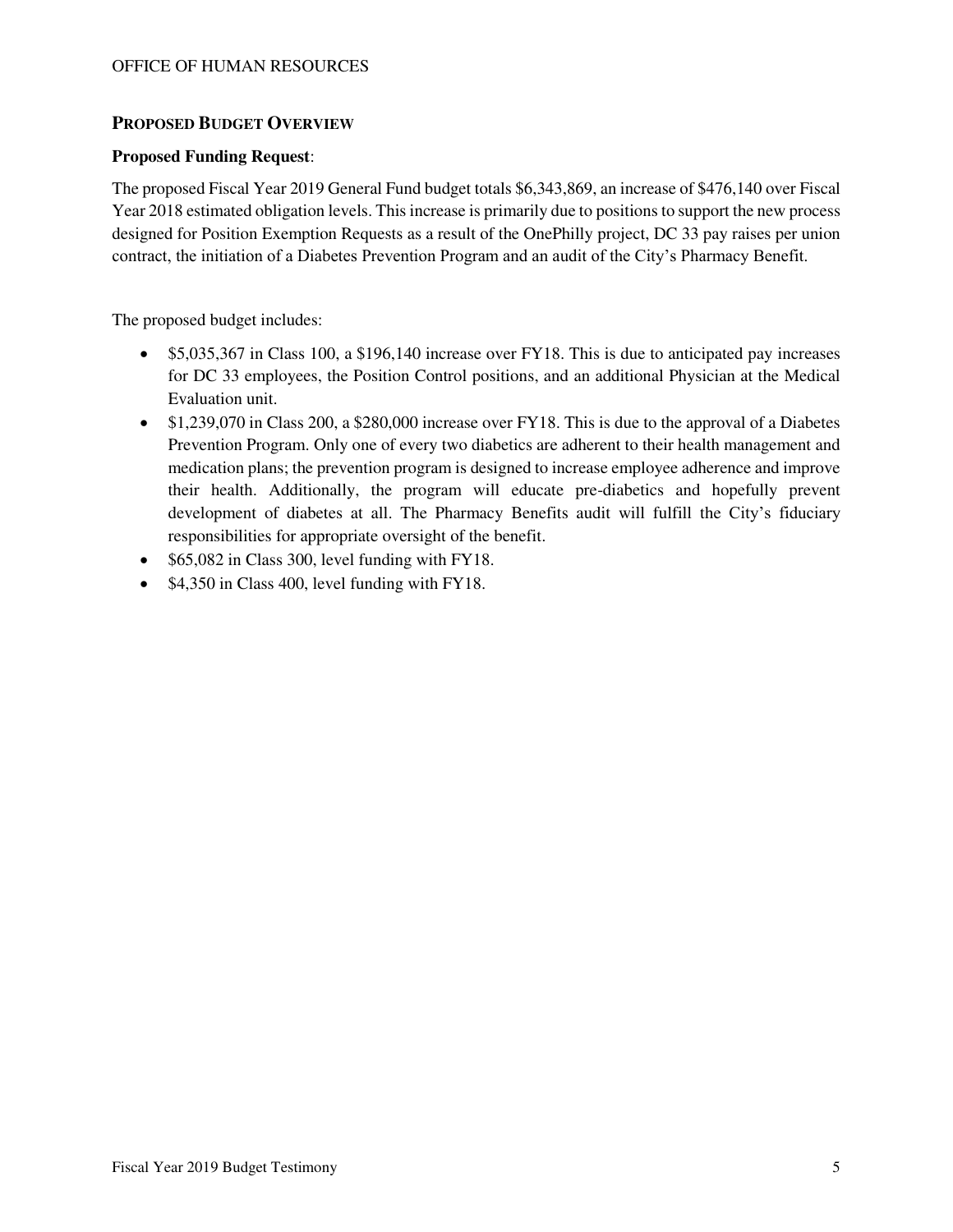### **PROPOSED BUDGET OVERVIEW**

### **Proposed Funding Request**:

The proposed Fiscal Year 2019 General Fund budget totals \$6,343,869, an increase of \$476,140 over Fiscal Year 2018 estimated obligation levels. This increase is primarily due to positions to support the new process designed for Position Exemption Requests as a result of the OnePhilly project, DC 33 pay raises per union contract, the initiation of a Diabetes Prevention Program and an audit of the City's Pharmacy Benefit.

The proposed budget includes:

- \$5,035,367 in Class 100, a \$196,140 increase over FY18. This is due to anticipated pay increases for DC 33 employees, the Position Control positions, and an additional Physician at the Medical Evaluation unit.
- \$1,239,070 in Class 200, a \$280,000 increase over FY18. This is due to the approval of a Diabetes Prevention Program. Only one of every two diabetics are adherent to their health management and medication plans; the prevention program is designed to increase employee adherence and improve their health. Additionally, the program will educate pre-diabetics and hopefully prevent development of diabetes at all. The Pharmacy Benefits audit will fulfill the City's fiduciary responsibilities for appropriate oversight of the benefit.
- \$65,082 in Class 300, level funding with FY18.
- \$4,350 in Class 400, level funding with FY18.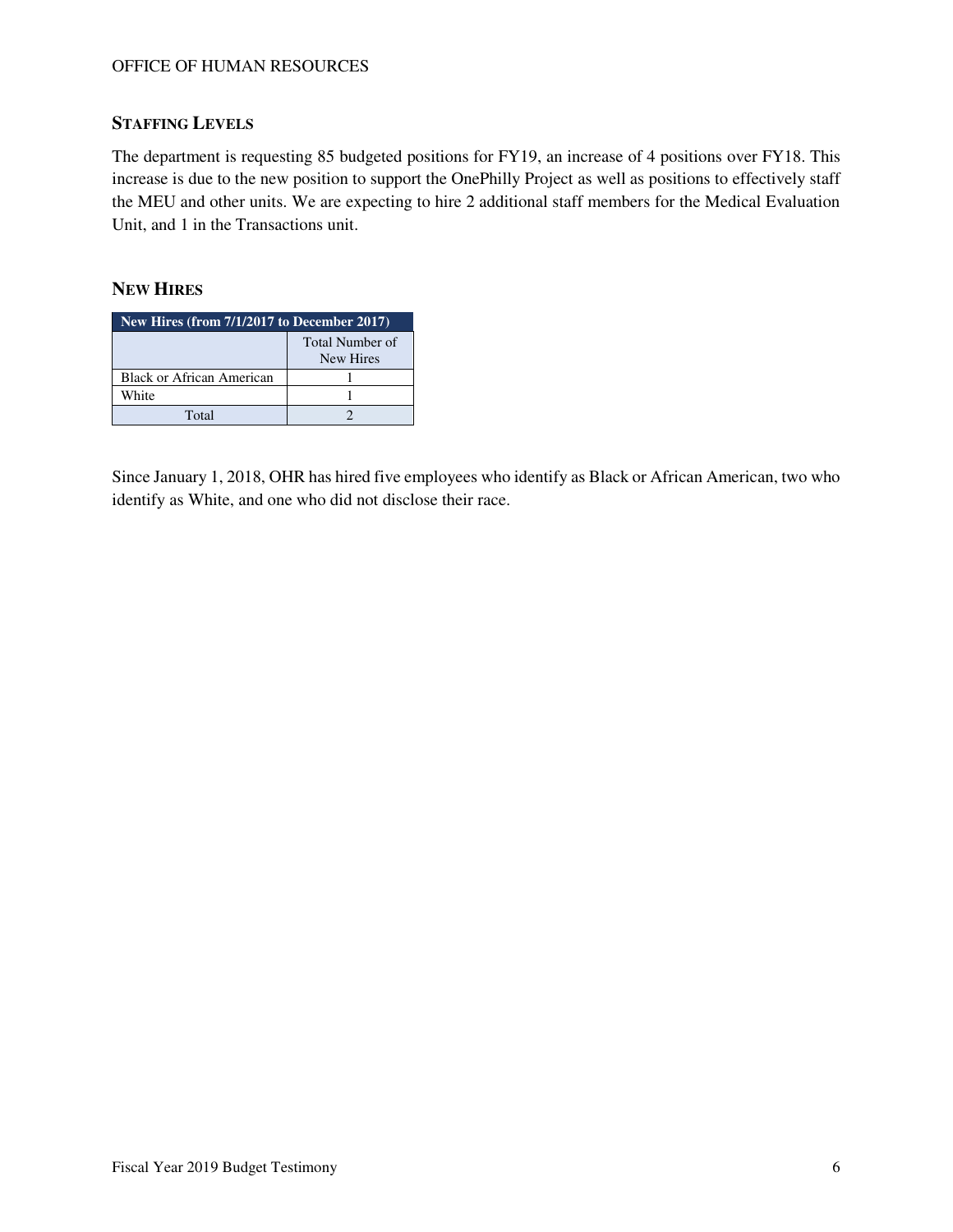# **STAFFING LEVELS**

The department is requesting 85 budgeted positions for FY19, an increase of 4 positions over FY18. This increase is due to the new position to support the OnePhilly Project as well as positions to effectively staff the MEU and other units. We are expecting to hire 2 additional staff members for the Medical Evaluation Unit, and 1 in the Transactions unit.

## **NEW HIRES**

| New Hires (from $7/1/2017$ to December 2017) |                              |  |  |  |  |  |
|----------------------------------------------|------------------------------|--|--|--|--|--|
|                                              | Total Number of<br>New Hires |  |  |  |  |  |
| Black or African American                    |                              |  |  |  |  |  |
| White                                        |                              |  |  |  |  |  |
| Total                                        |                              |  |  |  |  |  |

Since January 1, 2018, OHR has hired five employees who identify as Black or African American, two who identify as White, and one who did not disclose their race.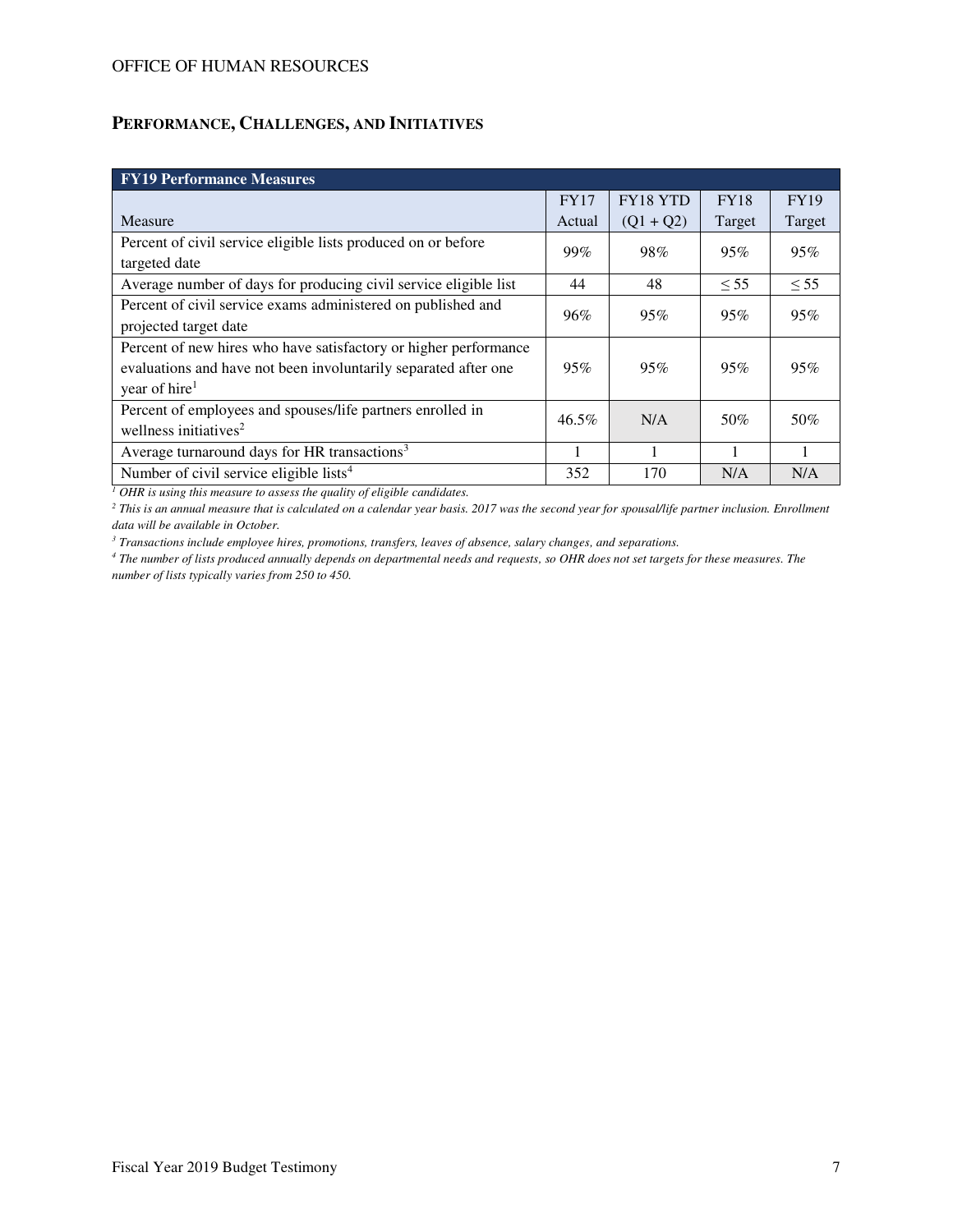# **PERFORMANCE, CHALLENGES, AND INITIATIVES**

| <b>FY19 Performance Measures</b>                                 |             |             |             |             |  |  |  |  |  |
|------------------------------------------------------------------|-------------|-------------|-------------|-------------|--|--|--|--|--|
|                                                                  | <b>FY17</b> | FY18 YTD    | <b>FY18</b> | <b>FY19</b> |  |  |  |  |  |
| Measure                                                          | Actual      | $(Q1 + Q2)$ | Target      | Target      |  |  |  |  |  |
| Percent of civil service eligible lists produced on or before    | 99%         | 98%         | 95%         | 95%         |  |  |  |  |  |
| targeted date                                                    |             |             |             |             |  |  |  |  |  |
| Average number of days for producing civil service eligible list | 44          | 48          | $\leq 55$   | $\leq 55$   |  |  |  |  |  |
| Percent of civil service exams administered on published and     | 96%         | 95%         | 95%         | 95%         |  |  |  |  |  |
| projected target date                                            |             |             |             |             |  |  |  |  |  |
| Percent of new hires who have satisfactory or higher performance |             |             |             |             |  |  |  |  |  |
| evaluations and have not been involuntarily separated after one  | 95%         | 95%         | 95%         | 95%         |  |  |  |  |  |
| year of hire <sup>1</sup>                                        |             |             |             |             |  |  |  |  |  |
| Percent of employees and spouses/life partners enrolled in       | $46.5\%$    | N/A         | 50%         | 50%         |  |  |  |  |  |
| wellness initiatives <sup>2</sup>                                |             |             |             |             |  |  |  |  |  |
| Average turnaround days for HR transactions <sup>3</sup>         |             |             |             |             |  |  |  |  |  |
| Number of civil service eligible lists <sup>4</sup>              | 352         | 170         | N/A         | N/A         |  |  |  |  |  |

*1 OHR is using this measure to assess the quality of eligible candidates.*

<sup>2</sup> This is an annual measure that is calculated on a calendar year basis. 2017 was the second year for spousal/life partner inclusion. Enrollment *data will be available in October.* 

*3 Transactions include employee hires, promotions, transfers, leaves of absence, salary changes, and separations.* 

*4 The number of lists produced annually depends on departmental needs and requests, so OHR does not set targets for these measures. The number of lists typically varies from 250 to 450.*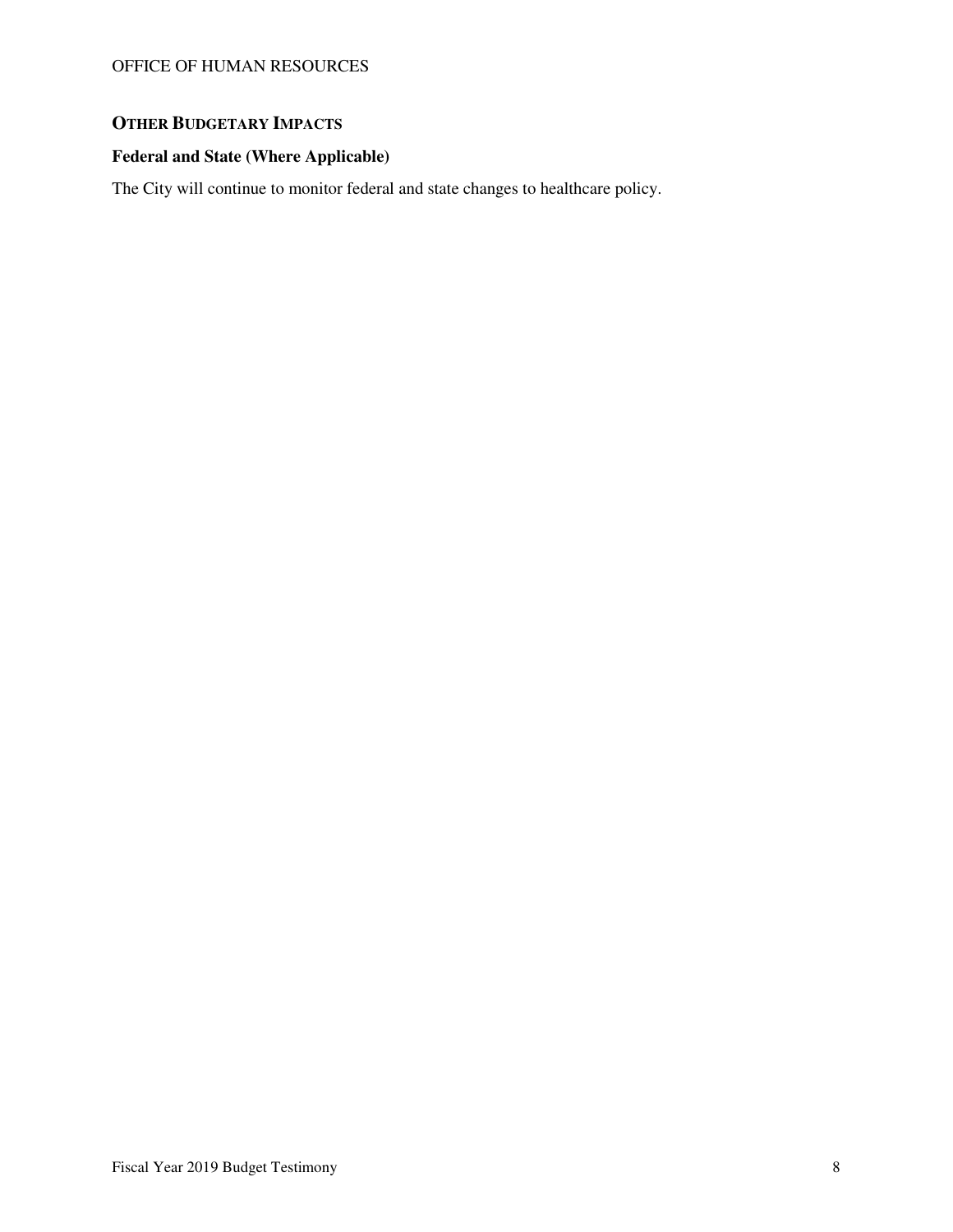# **OTHER BUDGETARY IMPACTS**

# **Federal and State (Where Applicable)**

The City will continue to monitor federal and state changes to healthcare policy.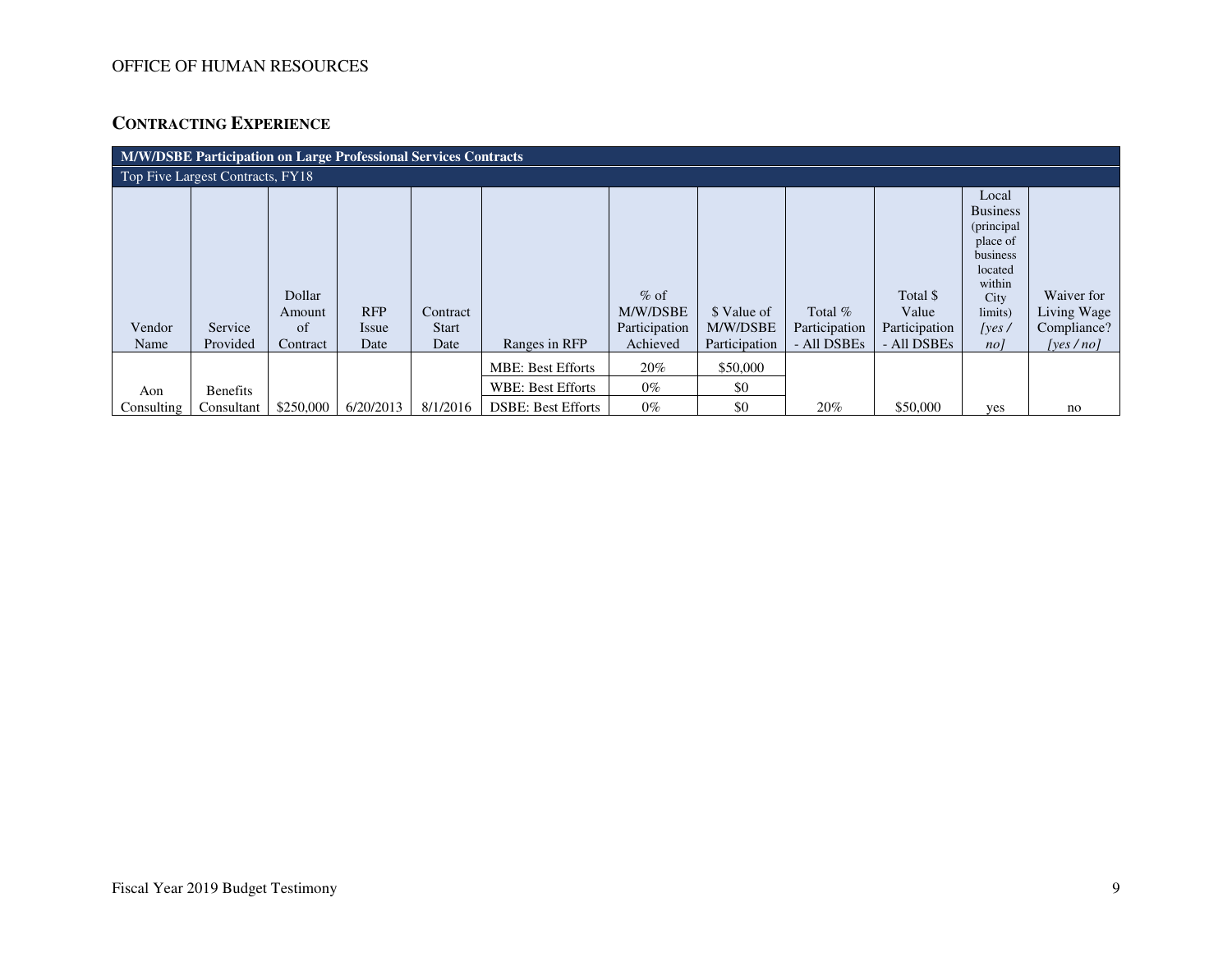# **CONTRACTING EXPERIENCE**

| <b>M/W/DSBE Participation on Large Professional Services Contracts</b> |                     |                                    |                             |                                  |                           |                                                 |                                          |                                           |                                                   |                                                                                                                                     |                                                          |
|------------------------------------------------------------------------|---------------------|------------------------------------|-----------------------------|----------------------------------|---------------------------|-------------------------------------------------|------------------------------------------|-------------------------------------------|---------------------------------------------------|-------------------------------------------------------------------------------------------------------------------------------------|----------------------------------------------------------|
| Top Five Largest Contracts, FY18                                       |                     |                                    |                             |                                  |                           |                                                 |                                          |                                           |                                                   |                                                                                                                                     |                                                          |
| Vendor<br>Name                                                         | Service<br>Provided | Dollar<br>Amount<br>of<br>Contract | <b>RFP</b><br>Issue<br>Date | Contract<br><b>Start</b><br>Date | Ranges in RFP             | $%$ of<br>M/W/DSBE<br>Participation<br>Achieved | \$ Value of<br>M/W/DSBE<br>Participation | Total $%$<br>Participation<br>- All DSBEs | Total \$<br>Value<br>Participation<br>- All DSBEs | Local<br><b>Business</b><br>(principal)<br>place of<br>business<br>located<br>within<br>City<br>limits)<br>[yes/<br>no <sub>l</sub> | Waiver for<br>Living Wage<br>Compliance?<br>[yes $/no$ ] |
|                                                                        |                     |                                    |                             |                                  | <b>MBE: Best Efforts</b>  | 20%                                             | \$50,000                                 |                                           |                                                   |                                                                                                                                     |                                                          |
| Aon                                                                    | <b>Benefits</b>     |                                    |                             |                                  | <b>WBE: Best Efforts</b>  | $0\%$                                           | \$0                                      |                                           |                                                   |                                                                                                                                     |                                                          |
| Consulting                                                             | Consultant          | \$250,000                          | 6/20/2013                   | 8/1/2016                         | <b>DSBE: Best Efforts</b> | $0\%$                                           | \$0                                      | 20%                                       | \$50,000                                          | yes                                                                                                                                 | no                                                       |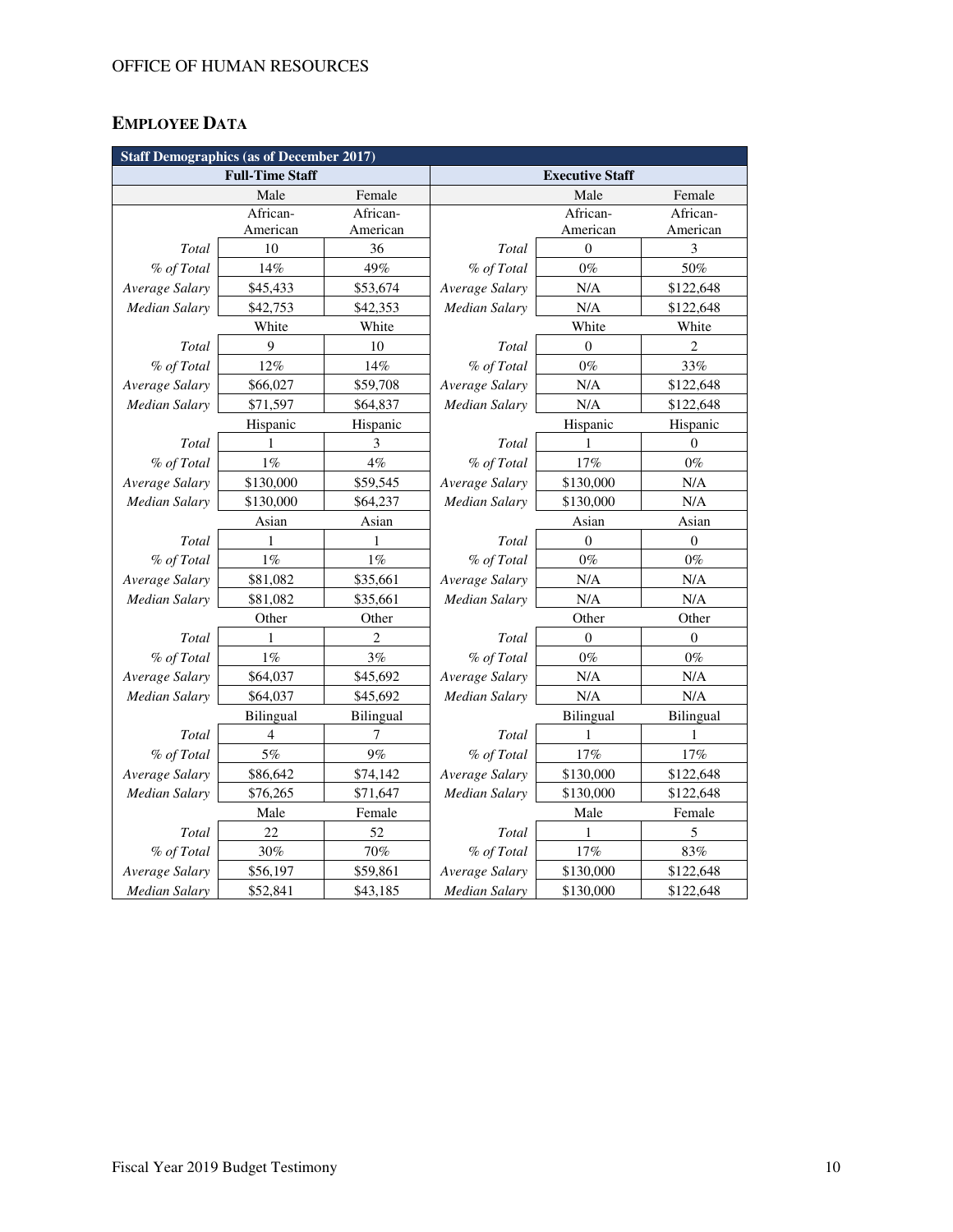# **EMPLOYEE DATA**

| <b>Staff Demographics (as of December 2017)</b> |                        |                |                      |                        |                  |  |  |  |
|-------------------------------------------------|------------------------|----------------|----------------------|------------------------|------------------|--|--|--|
|                                                 | <b>Full-Time Staff</b> |                |                      | <b>Executive Staff</b> |                  |  |  |  |
|                                                 | Male                   | Female         |                      | Male                   | Female           |  |  |  |
|                                                 | African-               | African-       |                      | African-               | African-         |  |  |  |
|                                                 | American               | American       |                      | American               | American         |  |  |  |
| Total                                           | 10                     | 36             | Total                | $\theta$               | 3                |  |  |  |
| % of Total                                      | 14%                    | 49%            | % of Total           | $0\%$                  | 50%              |  |  |  |
| Average Salary                                  | \$45,433               | \$53,674       | Average Salary       | N/A                    | \$122,648        |  |  |  |
| <b>Median Salary</b>                            | \$42,753               | \$42,353       | Median Salary        | N/A                    | \$122,648        |  |  |  |
|                                                 | White                  | White          |                      | White                  | White            |  |  |  |
| Total                                           | 9                      | 10             | Total                | $\Omega$               | $\overline{c}$   |  |  |  |
| % of Total                                      | 12%                    | 14%            | % of Total           | $0\%$                  | 33%              |  |  |  |
| Average Salary                                  | \$66,027               | \$59,708       | Average Salary       | N/A                    | \$122,648        |  |  |  |
| <b>Median Salary</b>                            | \$71,597               | \$64,837       | Median Salary        | N/A                    | \$122,648        |  |  |  |
|                                                 | Hispanic               | Hispanic       |                      | Hispanic               | Hispanic         |  |  |  |
| Total                                           | 1                      | 3              | Total                | 1                      | $\mathbf{0}$     |  |  |  |
| % of Total                                      | $1\%$                  | 4%             | % of Total           | 17%                    | $0\%$            |  |  |  |
| Average Salary                                  | \$130,000              | \$59,545       | Average Salary       | \$130,000              | N/A              |  |  |  |
| Median Salary                                   | \$130,000              | \$64,237       | Median Salary        | \$130,000              | N/A              |  |  |  |
|                                                 | Asian                  | Asian          |                      | Asian                  | Asian            |  |  |  |
| Total                                           | 1                      | 1              | Total                | $\mathbf{0}$           | $\boldsymbol{0}$ |  |  |  |
| % of Total                                      | 1%                     | $1\%$          | % of Total           | $0\%$                  | $0\%$            |  |  |  |
| Average Salary                                  | \$81,082               | \$35,661       | Average Salary       | N/A                    | $\rm N/A$        |  |  |  |
| <b>Median Salary</b>                            | \$81,082               | \$35,661       | Median Salary        | N/A                    | N/A              |  |  |  |
|                                                 | Other                  | Other          |                      | Other                  | Other            |  |  |  |
| Total                                           | 1                      | $\overline{c}$ | Total                | $\theta$               | $\mathbf{0}$     |  |  |  |
| % of Total                                      | 1%                     | 3%             | % of Total           | $0\%$                  | $0\%$            |  |  |  |
| Average Salary                                  | \$64,037               | \$45,692       | Average Salary       | N/A                    | N/A              |  |  |  |
| Median Salary                                   | \$64,037               | \$45,692       | Median Salary        | N/A                    | N/A              |  |  |  |
|                                                 | Bilingual              | Bilingual      |                      | Bilingual              | Bilingual        |  |  |  |
| Total                                           | 4                      | 7              | Total                | 1                      | 1                |  |  |  |
| % of Total                                      | 5%                     | 9%             | % of Total           | 17%                    | 17%              |  |  |  |
| Average Salary                                  | \$86,642               | \$74,142       | Average Salary       | \$130,000              | \$122,648        |  |  |  |
| Median Salary                                   | \$76,265               | \$71,647       | Median Salary        | \$130,000              | \$122,648        |  |  |  |
|                                                 | Male                   | Female         |                      | Female                 |                  |  |  |  |
| Total                                           | 22                     | 52             | Total                | 1                      | 5                |  |  |  |
| % of Total                                      | 30%                    | 70%            | % of Total           | 17%                    | 83%              |  |  |  |
| Average Salary                                  | \$56,197               | \$59,861       | Average Salary       | \$130,000              | \$122,648        |  |  |  |
| <b>Median Salary</b>                            | \$52,841               | \$43,185       | <b>Median Salary</b> | \$130,000              | \$122,648        |  |  |  |